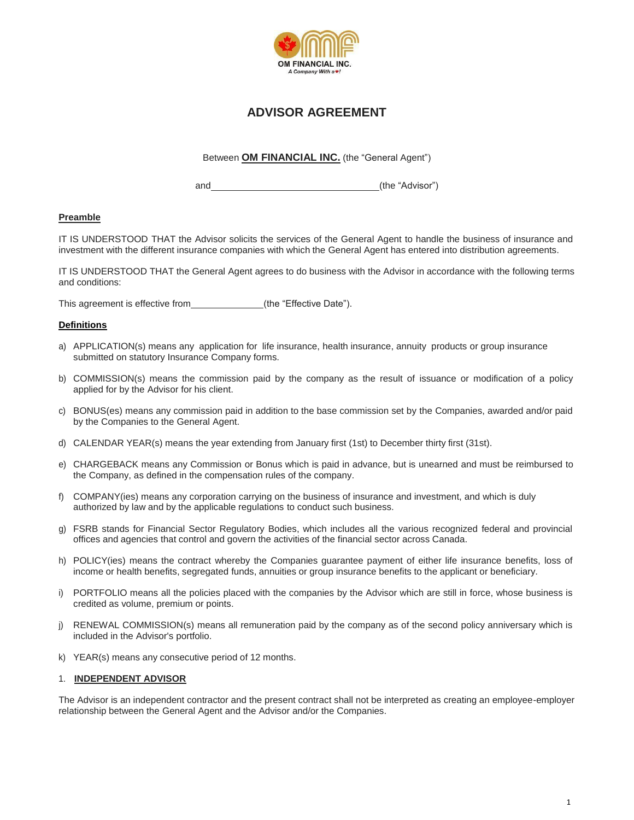

# **ADVISOR AGREEMENT**

Between **OM FINANCIAL INC.** (the "General Agent")

and (the "Advisor")

## **Preamble**

IT IS UNDERSTOOD THAT the Advisor solicits the services of the General Agent to handle the business of insurance and investment with the different insurance companies with which the General Agent has entered into distribution agreements.

IT IS UNDERSTOOD THAT the General Agent agrees to do business with the Advisor in accordance with the following terms and conditions:

This agreement is effective from  $(the "Effective Date").$ 

#### **Definitions**

- a) APPLICATION(s) means any application for life insurance, health insurance, annuity products or group insurance submitted on statutory Insurance Company forms.
- b) COMMISSION(s) means the commission paid by the company as the result of issuance or modification of a policy applied for by the Advisor for his client.
- c) BONUS(es) means any commission paid in addition to the base commission set by the Companies, awarded and/or paid by the Companies to the General Agent.
- d) CALENDAR YEAR(s) means the year extending from January first (1st) to December thirty first (31st).
- e) CHARGEBACK means any Commission or Bonus which is paid in advance, but is unearned and must be reimbursed to the Company, as defined in the compensation rules of the company.
- f) COMPANY(ies) means any corporation carrying on the business of insurance and investment, and which is duly authorized by law and by the applicable regulations to conduct such business.
- g) FSRB stands for Financial Sector Regulatory Bodies, which includes all the various recognized federal and provincial offices and agencies that control and govern the activities of the financial sector across Canada.
- h) POLICY(ies) means the contract whereby the Companies guarantee payment of either life insurance benefits, loss of income or health benefits, segregated funds, annuities or group insurance benefits to the applicant or beneficiary.
- i) PORTFOLIO means all the policies placed with the companies by the Advisor which are still in force, whose business is credited as volume, premium or points.
- j) RENEWAL COMMISSION(s) means all remuneration paid by the company as of the second policy anniversary which is included in the Advisor's portfolio.
- k) YEAR(s) means any consecutive period of 12 months.

#### 1. **INDEPENDENT ADVISOR**

The Advisor is an independent contractor and the present contract shall not be interpreted as creating an employee-employer relationship between the General Agent and the Advisor and/or the Companies.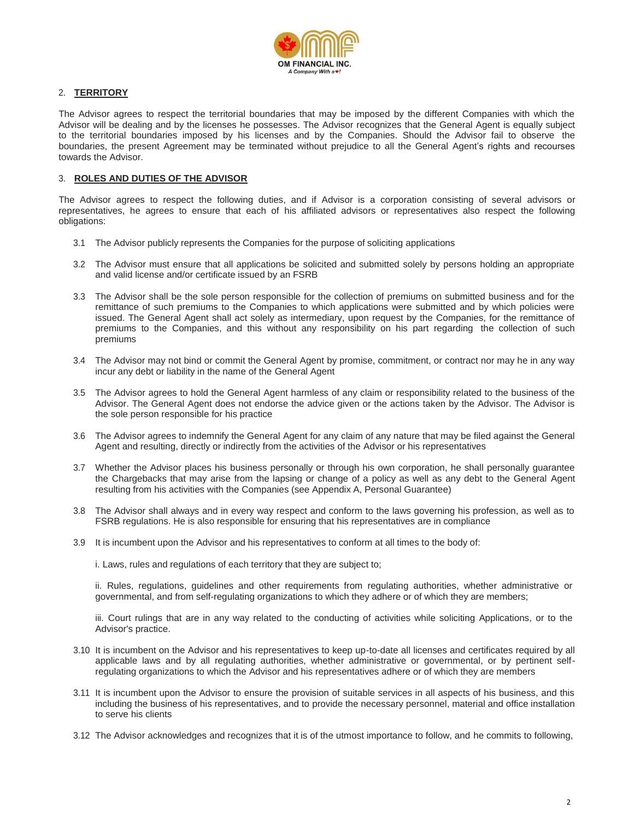

## 2. **TERRITORY**

The Advisor agrees to respect the territorial boundaries that may be imposed by the different Companies with which the Advisor will be dealing and by the licenses he possesses. The Advisor recognizes that the General Agent is equally subject to the territorial boundaries imposed by his licenses and by the Companies. Should the Advisor fail to observe the boundaries, the present Agreement may be terminated without prejudice to all the General Agent's rights and recourses towards the Advisor.

#### 3. **ROLES AND DUTIES OF THE ADVISOR**

The Advisor agrees to respect the following duties, and if Advisor is a corporation consisting of several advisors or representatives, he agrees to ensure that each of his affiliated advisors or representatives also respect the following obligations:

- 3.1 The Advisor publicly represents the Companies for the purpose of soliciting applications
- 3.2 The Advisor must ensure that all applications be solicited and submitted solely by persons holding an appropriate and valid license and/or certificate issued by an FSRB
- 3.3 The Advisor shall be the sole person responsible for the collection of premiums on submitted business and for the remittance of such premiums to the Companies to which applications were submitted and by which policies were issued. The General Agent shall act solely as intermediary, upon request by the Companies, for the remittance of premiums to the Companies, and this without any responsibility on his part regarding the collection of such premiums
- 3.4 The Advisor may not bind or commit the General Agent by promise, commitment, or contract nor may he in any way incur any debt or liability in the name of the General Agent
- 3.5 The Advisor agrees to hold the General Agent harmless of any claim or responsibility related to the business of the Advisor. The General Agent does not endorse the advice given or the actions taken by the Advisor. The Advisor is the sole person responsible for his practice
- 3.6 The Advisor agrees to indemnify the General Agent for any claim of any nature that may be filed against the General Agent and resulting, directly or indirectly from the activities of the Advisor or his representatives
- 3.7 Whether the Advisor places his business personally or through his own corporation, he shall personally guarantee the Chargebacks that may arise from the lapsing or change of a policy as well as any debt to the General Agent resulting from his activities with the Companies (see Appendix A, Personal Guarantee)
- 3.8 The Advisor shall always and in every way respect and conform to the laws governing his profession, as well as to FSRB regulations. He is also responsible for ensuring that his representatives are in compliance
- 3.9 It is incumbent upon the Advisor and his representatives to conform at all times to the body of:

i. Laws, rules and regulations of each territory that they are subject to;

ii. Rules, regulations, guidelines and other requirements from regulating authorities, whether administrative or governmental, and from self-regulating organizations to which they adhere or of which they are members;

iii. Court rulings that are in any way related to the conducting of activities while soliciting Applications, or to the Advisor's practice.

- 3.10 It is incumbent on the Advisor and his representatives to keep up-to-date all licenses and certificates required by all applicable laws and by all regulating authorities, whether administrative or governmental, or by pertinent selfregulating organizations to which the Advisor and his representatives adhere or of which they are members
- 3.11 It is incumbent upon the Advisor to ensure the provision of suitable services in all aspects of his business, and this including the business of his representatives, and to provide the necessary personnel, material and office installation to serve his clients
- 3.12 The Advisor acknowledges and recognizes that it is of the utmost importance to follow, and he commits to following,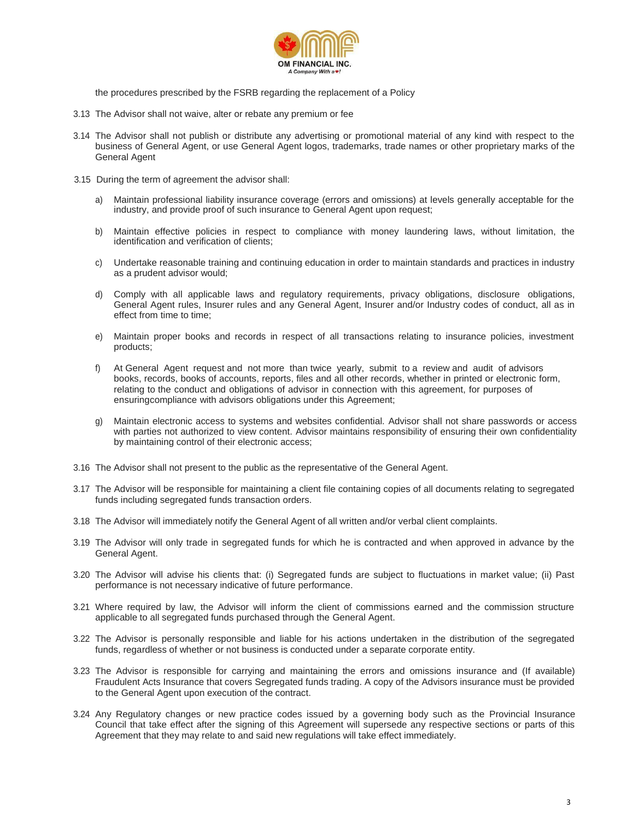

the procedures prescribed by the FSRB regarding the replacement of a Policy

- 3.13 The Advisor shall not waive, alter or rebate any premium or fee
- 3.14 The Advisor shall not publish or distribute any advertising or promotional material of any kind with respect to the business of General Agent, or use General Agent logos, trademarks, trade names or other proprietary marks of the General Agent
- 3.15 During the term of agreement the advisor shall:
	- a) Maintain professional liability insurance coverage (errors and omissions) at levels generally acceptable for the industry, and provide proof of such insurance to General Agent upon request;
	- b) Maintain effective policies in respect to compliance with money laundering laws, without limitation, the identification and verification of clients;
	- c) Undertake reasonable training and continuing education in order to maintain standards and practices in industry as a prudent advisor would;
	- d) Comply with all applicable laws and regulatory requirements, privacy obligations, disclosure obligations, General Agent rules, Insurer rules and any General Agent, Insurer and/or Industry codes of conduct, all as in effect from time to time;
	- e) Maintain proper books and records in respect of all transactions relating to insurance policies, investment products;
	- f) At General Agent request and not more than twice yearly, submit to a review and audit of advisors books, records, books of accounts, reports, files and all other records, whether in printed or electronic form, relating to the conduct and obligations of advisor in connection with this agreement, for purposes of ensuringcompliance with advisors obligations under this Agreement;
	- g) Maintain electronic access to systems and websites confidential. Advisor shall not share passwords or access with parties not authorized to view content. Advisor maintains responsibility of ensuring their own confidentiality by maintaining control of their electronic access;
- 3.16 The Advisor shall not present to the public as the representative of the General Agent.
- 3.17 The Advisor will be responsible for maintaining a client file containing copies of all documents relating to segregated funds including segregated funds transaction orders.
- 3.18 The Advisor will immediately notify the General Agent of all written and/or verbal client complaints.
- 3.19 The Advisor will only trade in segregated funds for which he is contracted and when approved in advance by the General Agent.
- 3.20 The Advisor will advise his clients that: (i) Segregated funds are subject to fluctuations in market value; (ii) Past performance is not necessary indicative of future performance.
- 3.21 Where required by law, the Advisor will inform the client of commissions earned and the commission structure applicable to all segregated funds purchased through the General Agent.
- 3.22 The Advisor is personally responsible and liable for his actions undertaken in the distribution of the segregated funds, regardless of whether or not business is conducted under a separate corporate entity.
- 3.23 The Advisor is responsible for carrying and maintaining the errors and omissions insurance and (If available) Fraudulent Acts Insurance that covers Segregated funds trading. A copy of the Advisors insurance must be provided to the General Agent upon execution of the contract.
- 3.24 Any Regulatory changes or new practice codes issued by a governing body such as the Provincial Insurance Council that take effect after the signing of this Agreement will supersede any respective sections or parts of this Agreement that they may relate to and said new regulations will take effect immediately.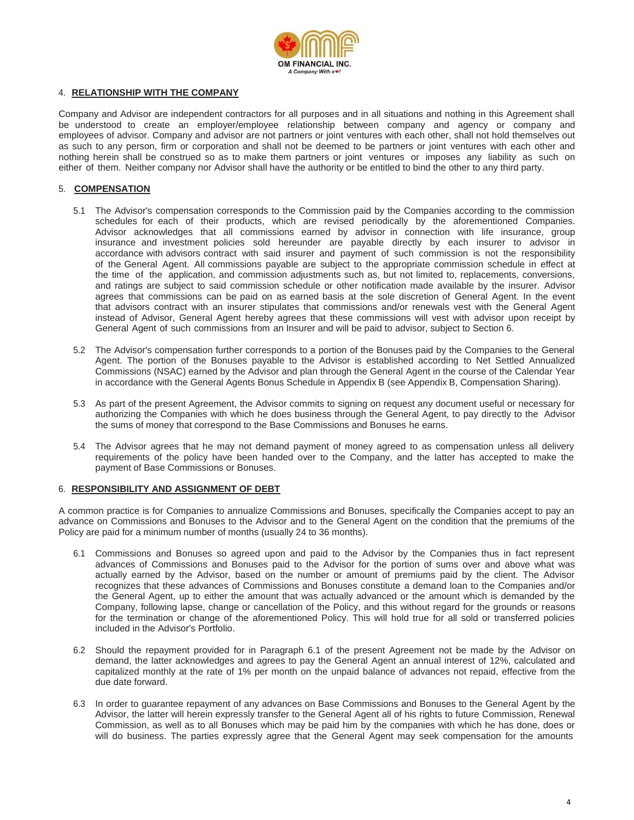

#### 4. **RELATIONSHIP WITH THE COMPANY**

Company and Advisor are independent contractors for all purposes and in all situations and nothing in this Agreement shall be understood to create an employer/employee relationship between company and agency or company and employees of advisor. Company and advisor are not partners or joint ventures with each other, shall not hold themselves out as such to any person, firm or corporation and shall not be deemed to be partners or joint ventures with each other and nothing herein shall be construed so as to make them partners or joint ventures or imposes any liability as such on either of them. Neither company nor Advisor shall have the authority or be entitled to bind the other to any third party.

### 5. **COMPENSATION**

- 5.1 The Advisor's compensation corresponds to the Commission paid by the Companies according to the commission schedules for each of their products, which are revised periodically by the aforementioned Companies. Advisor acknowledges that all commissions earned by advisor in connection with life insurance, group insurance and investment policies sold hereunder are payable directly by each insurer to advisor in accordance with advisors contract with said insurer and payment of such commission is not the responsibility of the General Agent. All commissions payable are subject to the appropriate commission schedule in effect at the time of the application, and commission adjustments such as, but not limited to, replacements, conversions, and ratings are subject to said commission schedule or other notification made available by the insurer. Advisor agrees that commissions can be paid on as earned basis at the sole discretion of General Agent. In the event that advisors contract with an insurer stipulates that commissions and/or renewals vest with the General Agent instead of Advisor, General Agent hereby agrees that these commissions will vest with advisor upon receipt by General Agent of such commissions from an Insurer and will be paid to advisor, subject to Section 6.
- 5.2 The Advisor's compensation further corresponds to a portion of the Bonuses paid by the Companies to the General Agent. The portion of the Bonuses payable to the Advisor is established according to Net Settled Annualized Commissions (NSAC) earned by the Advisor and plan through the General Agent in the course of the Calendar Year in accordance with the General Agents Bonus Schedule in Appendix B (see Appendix B, Compensation Sharing).
- 5.3 As part of the present Agreement, the Advisor commits to signing on request any document useful or necessary for authorizing the Companies with which he does business through the General Agent, to pay directly to the Advisor the sums of money that correspond to the Base Commissions and Bonuses he earns.
- 5.4 The Advisor agrees that he may not demand payment of money agreed to as compensation unless all delivery requirements of the policy have been handed over to the Company, and the latter has accepted to make the payment of Base Commissions or Bonuses.

#### 6. **RESPONSIBILITY AND ASSIGNMENT OF DEBT**

A common practice is for Companies to annualize Commissions and Bonuses, specifically the Companies accept to pay an advance on Commissions and Bonuses to the Advisor and to the General Agent on the condition that the premiums of the Policy are paid for a minimum number of months (usually 24 to 36 months).

- 6.1 Commissions and Bonuses so agreed upon and paid to the Advisor by the Companies thus in fact represent advances of Commissions and Bonuses paid to the Advisor for the portion of sums over and above what was actually earned by the Advisor, based on the number or amount of premiums paid by the client. The Advisor recognizes that these advances of Commissions and Bonuses constitute a demand loan to the Companies and/or the General Agent, up to either the amount that was actually advanced or the amount which is demanded by the Company, following lapse, change or cancellation of the Policy, and this without regard for the grounds or reasons for the termination or change of the aforementioned Policy. This will hold true for all sold or transferred policies included in the Advisor's Portfolio.
- 6.2 Should the repayment provided for in Paragraph 6.1 of the present Agreement not be made by the Advisor on demand, the latter acknowledges and agrees to pay the General Agent an annual interest of 12%, calculated and capitalized monthly at the rate of 1% per month on the unpaid balance of advances not repaid, effective from the due date forward.
- 6.3 In order to guarantee repayment of any advances on Base Commissions and Bonuses to the General Agent by the Advisor, the latter will herein expressly transfer to the General Agent all of his rights to future Commission, Renewal Commission, as well as to all Bonuses which may be paid him by the companies with which he has done, does or will do business. The parties expressly agree that the General Agent may seek compensation for the amounts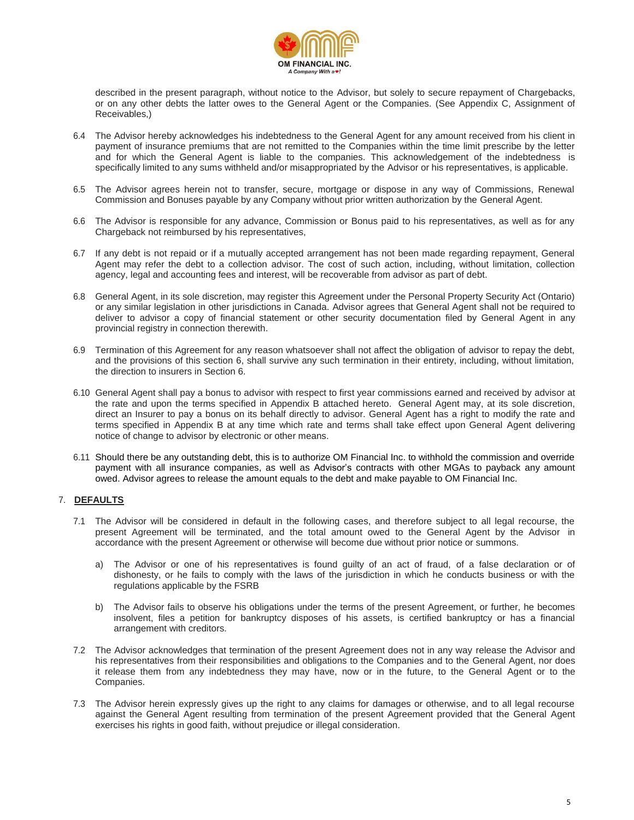

described in the present paragraph, without notice to the Advisor, but solely to secure repayment of Chargebacks, or on any other debts the latter owes to the General Agent or the Companies. (See Appendix C, Assignment of Receivables,)

- 6.4 The Advisor hereby acknowledges his indebtedness to the General Agent for any amount received from his client in payment of insurance premiums that are not remitted to the Companies within the time limit prescribe by the letter and for which the General Agent is liable to the companies. This acknowledgement of the indebtedness is specifically limited to any sums withheld and/or misappropriated by the Advisor or his representatives, is applicable.
- 6.5 The Advisor agrees herein not to transfer, secure, mortgage or dispose in any way of Commissions, Renewal Commission and Bonuses payable by any Company without prior written authorization by the General Agent.
- 6.6 The Advisor is responsible for any advance, Commission or Bonus paid to his representatives, as well as for any Chargeback not reimbursed by his representatives,
- 6.7 If any debt is not repaid or if a mutually accepted arrangement has not been made regarding repayment, General Agent may refer the debt to a collection advisor. The cost of such action, including, without limitation, collection agency, legal and accounting fees and interest, will be recoverable from advisor as part of debt.
- 6.8 General Agent, in its sole discretion, may register this Agreement under the Personal Property Security Act (Ontario) or any similar legislation in other jurisdictions in Canada. Advisor agrees that General Agent shall not be required to deliver to advisor a copy of financial statement or other security documentation filed by General Agent in any provincial registry in connection therewith.
- 6.9 Termination of this Agreement for any reason whatsoever shall not affect the obligation of advisor to repay the debt, and the provisions of this section 6, shall survive any such termination in their entirety, including, without limitation, the direction to insurers in Section 6.
- 6.10 General Agent shall pay a bonus to advisor with respect to first year commissions earned and received by advisor at the rate and upon the terms specified in Appendix B attached hereto. General Agent may, at its sole discretion, direct an Insurer to pay a bonus on its behalf directly to advisor. General Agent has a right to modify the rate and terms specified in Appendix B at any time which rate and terms shall take effect upon General Agent delivering notice of change to advisor by electronic or other means.
- 6.11 Should there be any outstanding debt, this is to authorize OM Financial Inc. to withhold the commission and override payment with all insurance companies, as well as Advisor's contracts with other MGAs to payback any amount owed. Advisor agrees to release the amount equals to the debt and make payable to OM Financial Inc.

## 7. **DEFAULTS**

- 7.1 The Advisor will be considered in default in the following cases, and therefore subject to all legal recourse, the present Agreement will be terminated, and the total amount owed to the General Agent by the Advisor in accordance with the present Agreement or otherwise will become due without prior notice or summons.
	- a) The Advisor or one of his representatives is found guilty of an act of fraud, of a false declaration or of dishonesty, or he fails to comply with the laws of the jurisdiction in which he conducts business or with the regulations applicable by the FSRB
	- b) The Advisor fails to observe his obligations under the terms of the present Agreement, or further, he becomes insolvent, files a petition for bankruptcy disposes of his assets, is certified bankruptcy or has a financial arrangement with creditors.
- 7.2 The Advisor acknowledges that termination of the present Agreement does not in any way release the Advisor and his representatives from their responsibilities and obligations to the Companies and to the General Agent, nor does it release them from any indebtedness they may have, now or in the future, to the General Agent or to the Companies.
- 7.3 The Advisor herein expressly gives up the right to any claims for damages or otherwise, and to all legal recourse against the General Agent resulting from termination of the present Agreement provided that the General Agent exercises his rights in good faith, without prejudice or illegal consideration.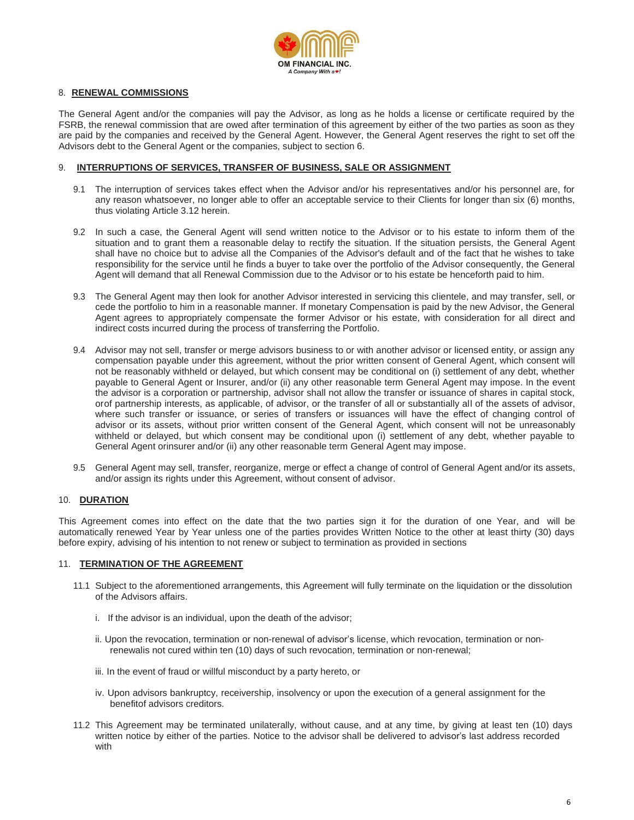

#### 8. **RENEWAL COMMISSIONS**

The General Agent and/or the companies will pay the Advisor, as long as he holds a license or certificate required by the FSRB, the renewal commission that are owed after termination of this agreement by either of the two parties as soon as they are paid by the companies and received by the General Agent. However, the General Agent reserves the right to set off the Advisors debt to the General Agent or the companies, subject to section 6.

#### 9. **INTERRUPTIONS OF SERVICES, TRANSFER OF BUSINESS, SALE OR ASSIGNMENT**

- 9.1 The interruption of services takes effect when the Advisor and/or his representatives and/or his personnel are, for any reason whatsoever, no longer able to offer an acceptable service to their Clients for longer than six (6) months, thus violating Article 3.12 herein.
- 9.2 In such a case, the General Agent will send written notice to the Advisor or to his estate to inform them of the situation and to grant them a reasonable delay to rectify the situation. If the situation persists, the General Agent shall have no choice but to advise all the Companies of the Advisor's default and of the fact that he wishes to take responsibility for the service until he finds a buyer to take over the portfolio of the Advisor consequently, the General Agent will demand that all Renewal Commission due to the Advisor or to his estate be henceforth paid to him.
- 9.3 The General Agent may then look for another Advisor interested in servicing this clientele, and may transfer, sell, or cede the portfolio to him in a reasonable manner. If monetary Compensation is paid by the new Advisor, the General Agent agrees to appropriately compensate the former Advisor or his estate, with consideration for all direct and indirect costs incurred during the process of transferring the Portfolio.
- 9.4 Advisor may not sell, transfer or merge advisors business to or with another advisor or licensed entity, or assign any compensation payable under this agreement, without the prior written consent of General Agent, which consent will not be reasonably withheld or delayed, but which consent may be conditional on (i) settlement of any debt, whether payable to General Agent or Insurer, and/or (ii) any other reasonable term General Agent may impose. In the event the advisor is a corporation or partnership, advisor shall not allow the transfer or issuance of shares in capital stock, orof partnership interests, as applicable, of advisor, or the transfer of all or substantially all of the assets of advisor, where such transfer or issuance, or series of transfers or issuances will have the effect of changing control of advisor or its assets, without prior written consent of the General Agent, which consent will not be unreasonably withheld or delayed, but which consent may be conditional upon (i) settlement of any debt, whether payable to General Agent orinsurer and/or (ii) any other reasonable term General Agent may impose.
- 9.5 General Agent may sell, transfer, reorganize, merge or effect a change of control of General Agent and/or its assets, and/or assign its rights under this Agreement, without consent of advisor.

#### 10. **DURATION**

This Agreement comes into effect on the date that the two parties sign it for the duration of one Year, and will be automatically renewed Year by Year unless one of the parties provides Written Notice to the other at least thirty (30) days before expiry, advising of his intention to not renew or subject to termination as provided in sections

#### 11. **TERMINATION OF THE AGREEMENT**

- 11.1 Subject to the aforementioned arrangements, this Agreement will fully terminate on the liquidation or the dissolution of the Advisors affairs.
	- i. If the advisor is an individual, upon the death of the advisor;
	- ii. Upon the revocation, termination or non-renewal of advisor's license, which revocation, termination or nonrenewalis not cured within ten (10) days of such revocation, termination or non-renewal;
	- iii. In the event of fraud or willful misconduct by a party hereto, or
	- iv. Upon advisors bankruptcy, receivership, insolvency or upon the execution of a general assignment for the benefitof advisors creditors.
- 11.2 This Agreement may be terminated unilaterally, without cause, and at any time, by giving at least ten (10) days written notice by either of the parties. Notice to the advisor shall be delivered to advisor's last address recorded with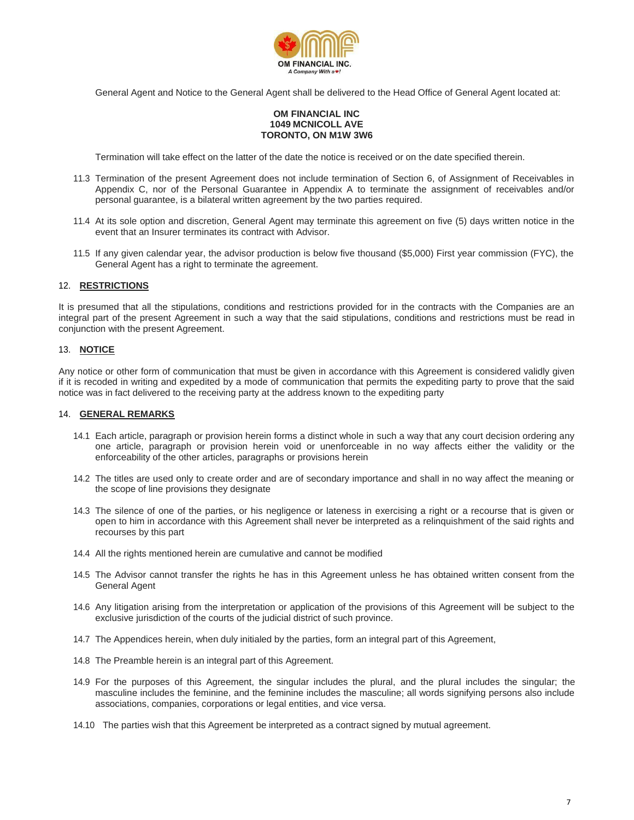

General Agent and Notice to the General Agent shall be delivered to the Head Office of General Agent located at:

#### **OM FINANCIAL INC 1049 MCNICOLL AVE TORONTO, ON M1W 3W6**

Termination will take effect on the latter of the date the notice is received or on the date specified therein.

- 11.3 Termination of the present Agreement does not include termination of Section 6, of Assignment of Receivables in Appendix C, nor of the Personal Guarantee in Appendix A to terminate the assignment of receivables and/or personal guarantee, is a bilateral written agreement by the two parties required.
- 11.4 At its sole option and discretion, General Agent may terminate this agreement on five (5) days written notice in the event that an Insurer terminates its contract with Advisor.
- 11.5 If any given calendar year, the advisor production is below five thousand (\$5,000) First year commission (FYC), the General Agent has a right to terminate the agreement.

#### 12. **RESTRICTIONS**

It is presumed that all the stipulations, conditions and restrictions provided for in the contracts with the Companies are an integral part of the present Agreement in such a way that the said stipulations, conditions and restrictions must be read in conjunction with the present Agreement.

#### 13. **NOTICE**

Any notice or other form of communication that must be given in accordance with this Agreement is considered validly given if it is recoded in writing and expedited by a mode of communication that permits the expediting party to prove that the said notice was in fact delivered to the receiving party at the address known to the expediting party

#### 14. **GENERAL REMARKS**

- 14.1 Each article, paragraph or provision herein forms a distinct whole in such a way that any court decision ordering any one article, paragraph or provision herein void or unenforceable in no way affects either the validity or the enforceability of the other articles, paragraphs or provisions herein
- 14.2 The titles are used only to create order and are of secondary importance and shall in no way affect the meaning or the scope of line provisions they designate
- 14.3 The silence of one of the parties, or his negligence or lateness in exercising a right or a recourse that is given or open to him in accordance with this Agreement shall never be interpreted as a relinquishment of the said rights and recourses by this part
- 14.4 All the rights mentioned herein are cumulative and cannot be modified
- 14.5 The Advisor cannot transfer the rights he has in this Agreement unless he has obtained written consent from the General Agent
- 14.6 Any litigation arising from the interpretation or application of the provisions of this Agreement will be subject to the exclusive jurisdiction of the courts of the judicial district of such province.
- 14.7 The Appendices herein, when duly initialed by the parties, form an integral part of this Agreement,
- 14.8 The Preamble herein is an integral part of this Agreement.
- 14.9 For the purposes of this Agreement, the singular includes the plural, and the plural includes the singular; the masculine includes the feminine, and the feminine includes the masculine; all words signifying persons also include associations, companies, corporations or legal entities, and vice versa.
- 14.10 The parties wish that this Agreement be interpreted as a contract signed by mutual agreement.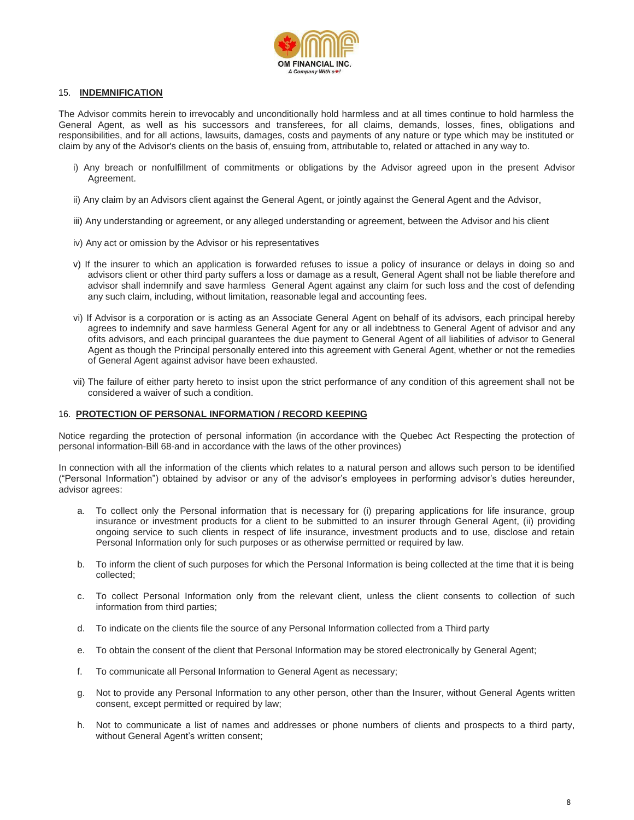

#### 15. **INDEMNIFICATION**

The Advisor commits herein to irrevocably and unconditionally hold harmless and at all times continue to hold harmless the General Agent, as well as his successors and transferees, for all claims, demands, losses, fines, obligations and responsibilities, and for all actions, lawsuits, damages, costs and payments of any nature or type which may be instituted or claim by any of the Advisor's clients on the basis of, ensuing from, attributable to, related or attached in any way to.

- i) Any breach or nonfulfillment of commitments or obligations by the Advisor agreed upon in the present Advisor Agreement.
- ii) Any claim by an Advisors client against the General Agent, or jointly against the General Agent and the Advisor,
- iii) Any understanding or agreement, or any alleged understanding or agreement, between the Advisor and his client
- iv) Any act or omission by the Advisor or his representatives
- v) If the insurer to which an application is forwarded refuses to issue a policy of insurance or delays in doing so and advisors client or other third party suffers a loss or damage as a result, General Agent shall not be liable therefore and advisor shall indemnify and save harmless General Agent against any claim for such loss and the cost of defending any such claim, including, without limitation, reasonable legal and accounting fees.
- vi) If Advisor is a corporation or is acting as an Associate General Agent on behalf of its advisors, each principal hereby agrees to indemnify and save harmless General Agent for any or all indebtness to General Agent of advisor and any ofits advisors, and each principal guarantees the due payment to General Agent of all liabilities of advisor to General Agent as though the Principal personally entered into this agreement with General Agent, whether or not the remedies of General Agent against advisor have been exhausted.
- vii) The failure of either party hereto to insist upon the strict performance of any condition of this agreement shall not be considered a waiver of such a condition.

#### 16. **PROTECTION OF PERSONAL INFORMATION / RECORD KEEPING**

Notice regarding the protection of personal information (in accordance with the Quebec Act Respecting the protection of personal information-Bill 68-and in accordance with the laws of the other provinces)

In connection with all the information of the clients which relates to a natural person and allows such person to be identified ("Personal Information") obtained by advisor or any of the advisor's employees in performing advisor's duties hereunder, advisor agrees:

- a. To collect only the Personal information that is necessary for (i) preparing applications for life insurance, group insurance or investment products for a client to be submitted to an insurer through General Agent, (ii) providing ongoing service to such clients in respect of life insurance, investment products and to use, disclose and retain Personal Information only for such purposes or as otherwise permitted or required by law.
- b. To inform the client of such purposes for which the Personal Information is being collected at the time that it is being collected;
- c. To collect Personal Information only from the relevant client, unless the client consents to collection of such information from third parties;
- d. To indicate on the clients file the source of any Personal Information collected from a Third party
- e. To obtain the consent of the client that Personal Information may be stored electronically by General Agent;
- f. To communicate all Personal Information to General Agent as necessary;
- g. Not to provide any Personal Information to any other person, other than the Insurer, without General Agents written consent, except permitted or required by law;
- h. Not to communicate a list of names and addresses or phone numbers of clients and prospects to a third party, without General Agent's written consent;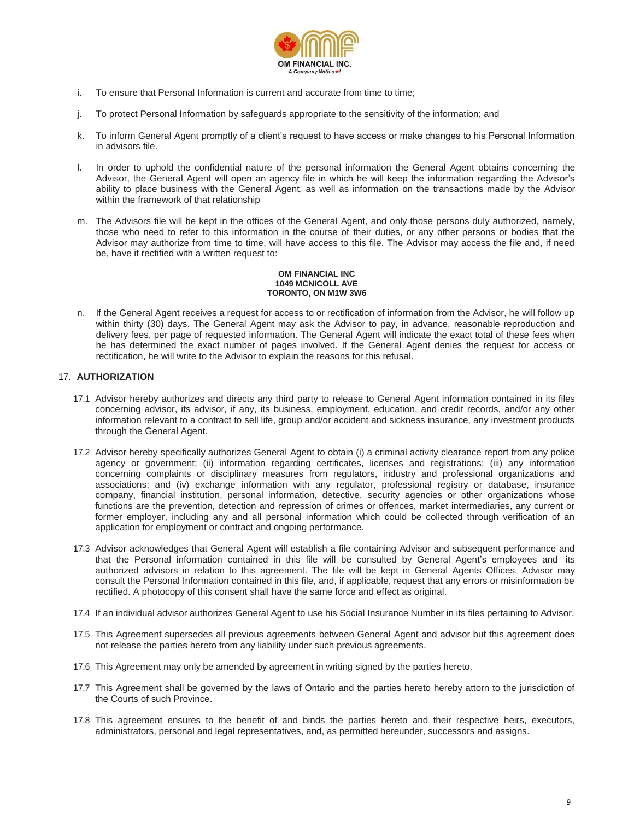

- i. To ensure that Personal Information is current and accurate from time to time;
- j. To protect Personal Information by safeguards appropriate to the sensitivity of the information; and
- k. To inform General Agent promptly of a client's request to have access or make changes to his Personal Information in advisors file.
- l. In order to uphold the confidential nature of the personal information the General Agent obtains concerning the Advisor, the General Agent will open an agency file in which he will keep the information regarding the Advisor's ability to place business with the General Agent, as well as information on the transactions made by the Advisor within the framework of that relationship
- m. The Advisors file will be kept in the offices of the General Agent, and only those persons duly authorized, namely, those who need to refer to this information in the course of their duties, or any other persons or bodies that the Advisor may authorize from time to time, will have access to this file. The Advisor may access the file and, if need be, have it rectified with a written request to:

#### **OM FINANCIAL INC 1049 MCNICOLL AVE TORONTO, ON M1W 3W6**

n. If the General Agent receives a request for access to or rectification of information from the Advisor, he will follow up within thirty (30) days. The General Agent may ask the Advisor to pay, in advance, reasonable reproduction and delivery fees, per page of requested information. The General Agent will indicate the exact total of these fees when he has determined the exact number of pages involved. If the General Agent denies the request for access or rectification, he will write to the Advisor to explain the reasons for this refusal.

## 17. **AUTHORIZATION**

- 17.1 Advisor hereby authorizes and directs any third party to release to General Agent information contained in its files concerning advisor, its advisor, if any, its business, employment, education, and credit records, and/or any other information relevant to a contract to sell life, group and/or accident and sickness insurance, any investment products through the General Agent.
- 17.2 Advisor hereby specifically authorizes General Agent to obtain (i) a criminal activity clearance report from any police agency or government; (ii) information regarding certificates, licenses and registrations; (iii) any information concerning complaints or disciplinary measures from regulators, industry and professional organizations and associations; and (iv) exchange information with any regulator, professional registry or database, insurance company, financial institution, personal information, detective, security agencies or other organizations whose functions are the prevention, detection and repression of crimes or offences, market intermediaries, any current or former employer, including any and all personal information which could be collected through verification of an application for employment or contract and ongoing performance.
- 17.3 Advisor acknowledges that General Agent will establish a file containing Advisor and subsequent performance and that the Personal information contained in this file will be consulted by General Agent's employees and its authorized advisors in relation to this agreement. The file will be kept in General Agents Offices. Advisor may consult the Personal Information contained in this file, and, if applicable, request that any errors or misinformation be rectified. A photocopy of this consent shall have the same force and effect as original.
- 17.4 If an individual advisor authorizes General Agent to use his Social Insurance Number in its files pertaining to Advisor.
- 17.5 This Agreement supersedes all previous agreements between General Agent and advisor but this agreement does not release the parties hereto from any liability under such previous agreements.
- 17.6 This Agreement may only be amended by agreement in writing signed by the parties hereto.
- 17.7 This Agreement shall be governed by the laws of Ontario and the parties hereto hereby attorn to the jurisdiction of the Courts of such Province.
- 17.8 This agreement ensures to the benefit of and binds the parties hereto and their respective heirs, executors, administrators, personal and legal representatives, and, as permitted hereunder, successors and assigns.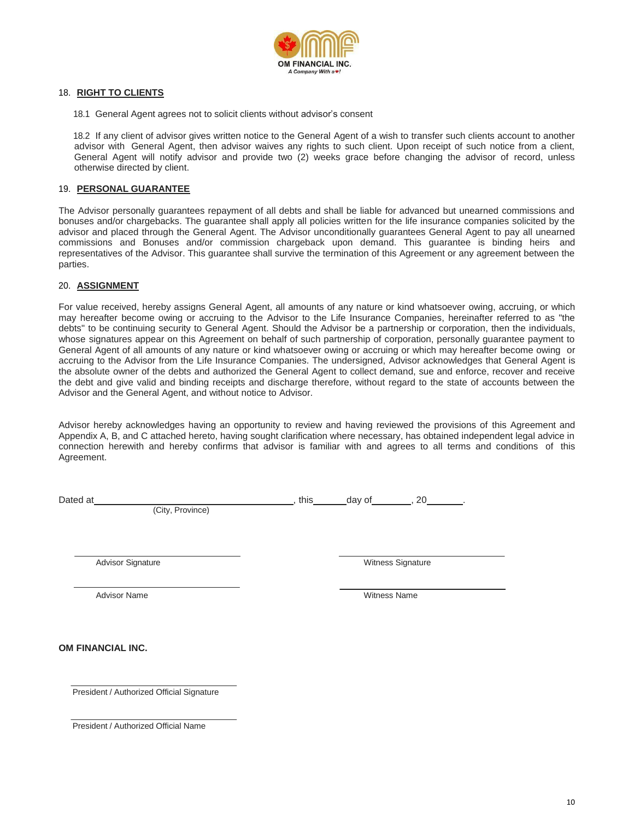

#### 18. **RIGHT TO CLIENTS**

18.1 General Agent agrees not to solicit clients without advisor's consent

18.2 If any client of advisor gives written notice to the General Agent of a wish to transfer such clients account to another advisor with General Agent, then advisor waives any rights to such client. Upon receipt of such notice from a client, General Agent will notify advisor and provide two (2) weeks grace before changing the advisor of record, unless otherwise directed by client.

#### 19. **PERSONAL GUARANTEE**

The Advisor personally guarantees repayment of all debts and shall be liable for advanced but unearned commissions and bonuses and/or chargebacks. The guarantee shall apply all policies written for the life insurance companies solicited by the advisor and placed through the General Agent. The Advisor unconditionally guarantees General Agent to pay all unearned commissions and Bonuses and/or commission chargeback upon demand. This guarantee is binding heirs and representatives of the Advisor. This guarantee shall survive the termination of this Agreement or any agreement between the parties.

#### 20. **ASSIGNMENT**

For value received, hereby assigns General Agent, all amounts of any nature or kind whatsoever owing, accruing, or which may hereafter become owing or accruing to the Advisor to the Life Insurance Companies, hereinafter referred to as "the debts" to be continuing security to General Agent. Should the Advisor be a partnership or corporation, then the individuals, whose signatures appear on this Agreement on behalf of such partnership of corporation, personally guarantee payment to General Agent of all amounts of any nature or kind whatsoever owing or accruing or which may hereafter become owing or accruing to the Advisor from the Life Insurance Companies. The undersigned, Advisor acknowledges that General Agent is the absolute owner of the debts and authorized the General Agent to collect demand, sue and enforce, recover and receive the debt and give valid and binding receipts and discharge therefore, without regard to the state of accounts between the Advisor and the General Agent, and without notice to Advisor.

Advisor hereby acknowledges having an opportunity to review and having reviewed the provisions of this Agreement and Appendix A, B, and C attached hereto, having sought clarification where necessary, has obtained independent legal advice in connection herewith and hereby confirms that advisor is familiar with and agrees to all terms and conditions of this Agreement.

Dated at , this day of , 20 . The day of , 20 . The day of street at  $\sim$  , 20 . The day of  $\sim$  , 20 . The day of  $\sim$  , 20 . The day of  $\sim$  , 20 . The day of  $\sim$  .

(City, Province)

Advisor Signature **Microsoft Signature** Witness Signature

Advisor Name Witness Name Witness Name Witness Name Witness Name Witness Name Witness Name Witness Name Witness Name Witness Name Witness Name Witness Name Witness Name Witness Name Witness Name Witness Name Witness Name W

**OM FINANCIAL INC.**

President / Authorized Official Signature

President / Authorized Official Name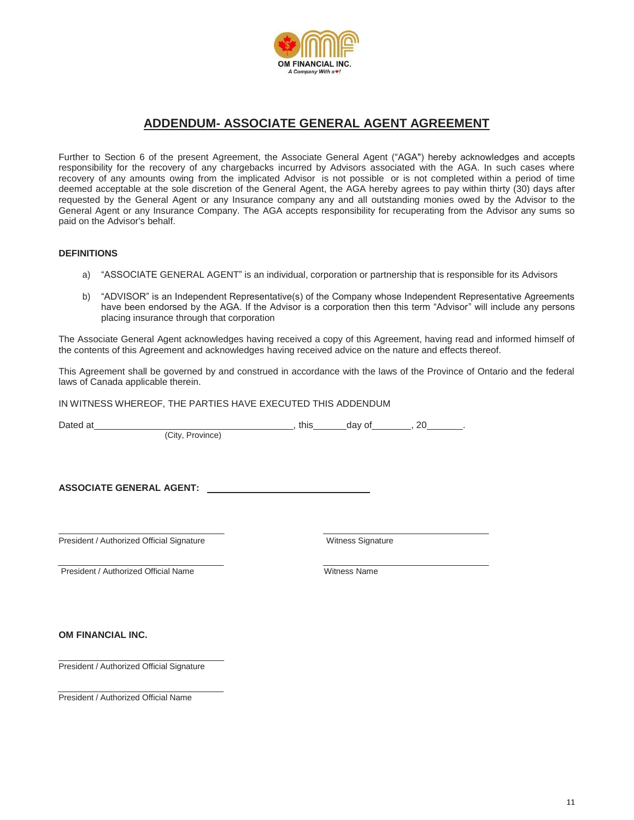

# **ADDENDUM- ASSOCIATE GENERAL AGENT AGREEMENT**

Further to Section 6 of the present Agreement, the Associate General Agent ("AGA") hereby acknowledges and accepts responsibility for the recovery of any chargebacks incurred by Advisors associated with the AGA. In such cases where recovery of any amounts owing from the implicated Advisor is not possible or is not completed within a period of time deemed acceptable at the sole discretion of the General Agent, the AGA hereby agrees to pay within thirty (30) days after requested by the General Agent or any Insurance company any and all outstanding monies owed by the Advisor to the General Agent or any Insurance Company. The AGA accepts responsibility for recuperating from the Advisor any sums so paid on the Advisor's behalf.

### **DEFINITIONS**

- a) "ASSOCIATE GENERAL AGENT" is an individual, corporation or partnership that is responsible for its Advisors
- b) "ADVISOR" is an Independent Representative(s) of the Company whose Independent Representative Agreements have been endorsed by the AGA. If the Advisor is a corporation then this term "Advisor" will include any persons placing insurance through that corporation

The Associate General Agent acknowledges having received a copy of this Agreement, having read and informed himself of the contents of this Agreement and acknowledges having received advice on the nature and effects thereof.

This Agreement shall be governed by and construed in accordance with the laws of the Province of Ontario and the federal laws of Canada applicable therein.

IN WITNESS WHEREOF, THE PARTIES HAVE EXECUTED THIS ADDENDUM

(City, Province)

Dated at , this day of , 20 .

**ASSOCIATE GENERAL AGENT:** 

President / Authorized Official Signature Witness Signature

President / Authorized Official Name Witness Name Witness Name

**OM FINANCIAL INC.**

President / Authorized Official Signature

President / Authorized Official Name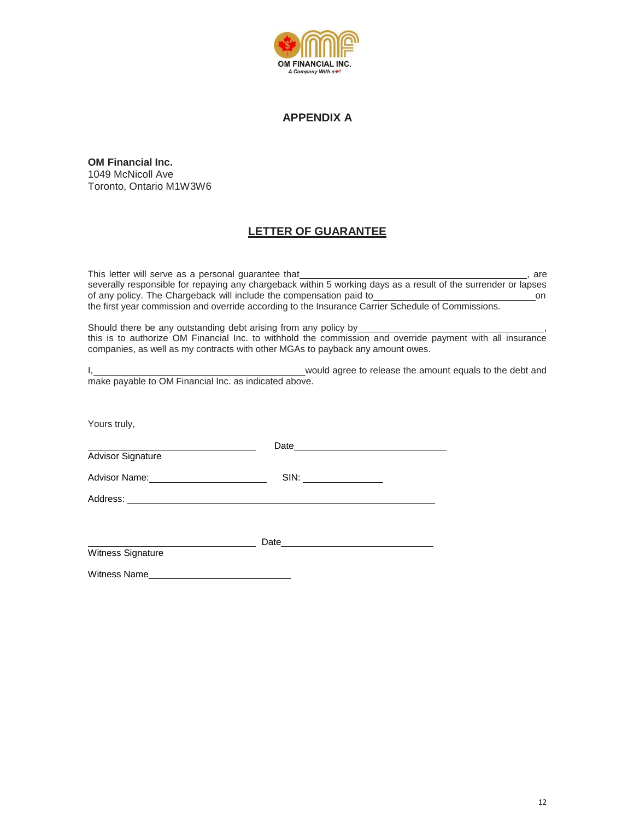

## **APPENDIX A**

**OM Financial Inc.** 1049 McNicoll Ave Toronto, Ontario M1W3W6

## **LETTER OF GUARANTEE**

This letter will serve as a personal guarantee that **interval and the server of the server**, are severally responsible for repaying any chargeback within 5 working days as a result of the surrender or lapses of any policy. The Chargeback will include the compensation paid to <u>consume and the system and</u> on the first year commission and override according to the Insurance Carrier Schedule of Commissions.

Should there be any outstanding debt arising from any policy by *normalism* this is to authorize OM Financial Inc. to withhold the commission and override payment with all insurance companies, as well as my contracts with other MGAs to payback any amount owes.

|                                                       | would agree to release the amount equals to the debt and |
|-------------------------------------------------------|----------------------------------------------------------|
| make payable to OM Financial Inc. as indicated above. |                                                          |

Yours truly,

Date **Date** Advisor Signature Advisor Name: SIN: SIN: Address: Date

Witness Signature

Witness Name **Witness**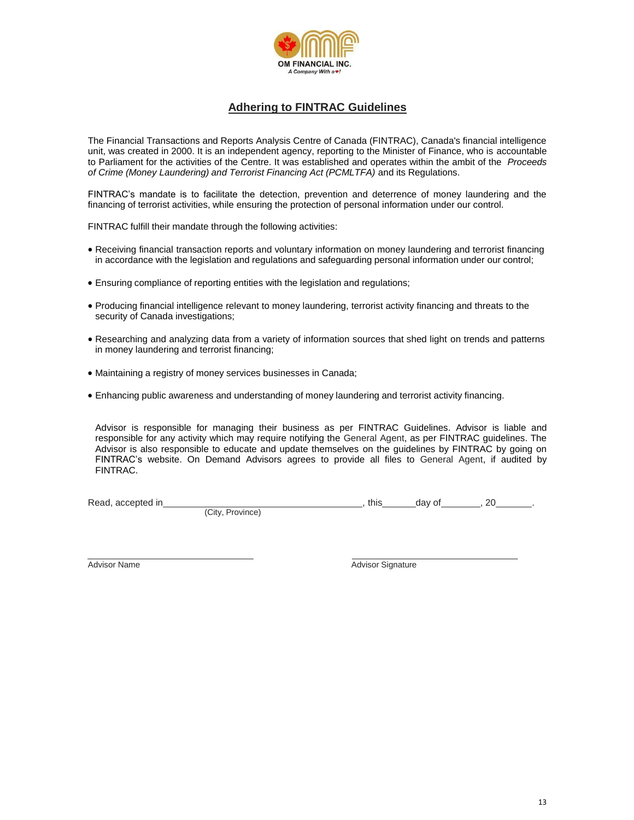

## **Adhering to FINTRAC Guidelines**

The Financial Transactions and Reports Analysis Centre of Canada (FINTRAC), Canada's financial intelligence unit, was created in 2000. It is an independent agency, reporting to the Minister of Finance, who is accountable to Parliament for the activities of the Centre. It was established and operates within the ambit of the *Proceeds of Crime (Money Laundering) and Terrorist Financing Act (PCMLTFA)* and its Regulations.

FINTRAC's mandate is to facilitate the detection, prevention and deterrence of money laundering and the financing of terrorist activities, while ensuring the protection of personal information under our control.

FINTRAC fulfill their mandate through the following activities:

- Receiving financial transaction reports and voluntary information on money laundering and terrorist financing in accordance with the legislation and regulations and safeguarding personal information under our control;
- Ensuring compliance of reporting entities with the legislation and regulations;
- Producing financial intelligence relevant to money laundering, terrorist activity financing and threats to the security of Canada investigations;
- Researching and analyzing data from a variety of information sources that shed light on trends and patterns in money laundering and terrorist financing;
- Maintaining a registry of money services businesses in Canada;
- Enhancing public awareness and understanding of money laundering and terrorist activity financing.

Advisor is responsible for managing their business as per FINTRAC Guidelines. Advisor is liable and responsible for any activity which may require notifying the General Agent, as per FINTRAC guidelines. The Advisor is also responsible to educate and update themselves on the guidelines by FINTRAC by going on FINTRAC's website. On Demand Advisors agrees to provide all files to General Agent, if audited by FINTRAC.

(City, Province)

Read, accepted in , this day of , 20 . The day of , 20 . The day of , 20 . The day of , 20 . The day of , 20 . The day of , 20 . The day of , 20 . The day of , 20 . The day of structure is a structure of the day of structu

Advisor Name **Advisor Signature** Advisor Signature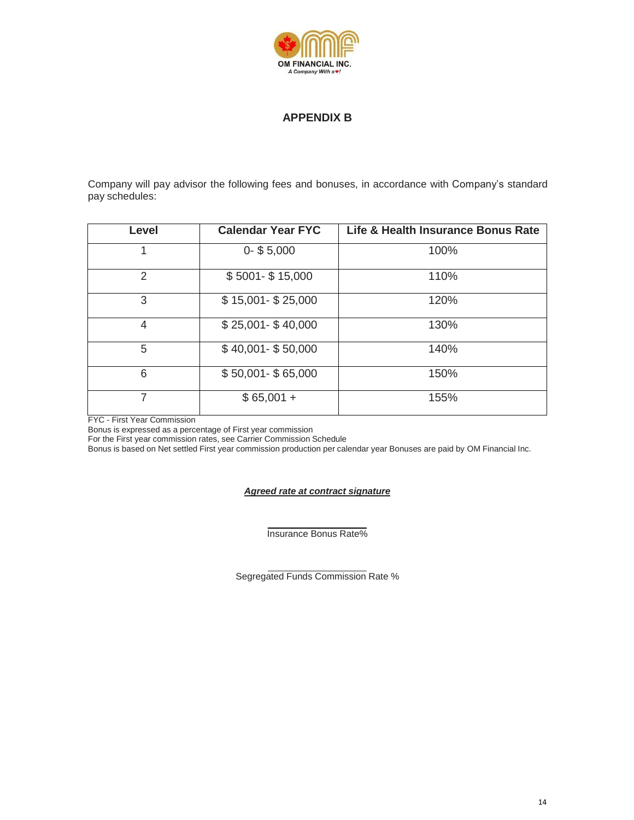

## **APPENDIX B**

Company will pay advisor the following fees and bonuses, in accordance with Company's standard pay schedules:

| Level | <b>Calendar Year FYC</b> | Life & Health Insurance Bonus Rate |
|-------|--------------------------|------------------------------------|
| 1     | $0 - $5,000$             | 100%                               |
| 2     | $$5001 - $15,000$        | 110%                               |
| 3     | $$15,001 - $25,000$      | 120%                               |
| 4     | $$25,001 - $40,000$      | 130%                               |
| 5     | $$40,001 - $50,000$      | 140%                               |
| 6     | $$50,001 - $65,000$      | 150%                               |
| 7     | $$65,001 +$              | 155%                               |

FYC - First Year Commission

Bonus is expressed as a percentage of First year commission

For the First year commission rates, see Carrier Commission Schedule

Bonus is based on Net settled First year commission production per calendar year Bonuses are paid by OM Financial Inc.

#### *Agreed rate at contract signature*

Insurance Bonus Rate%

Segregated Funds Commission Rate %